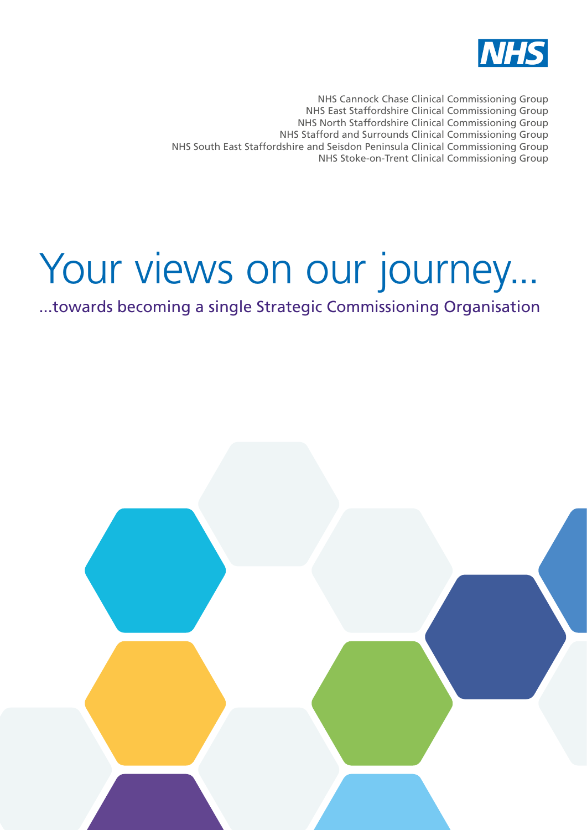

NHS Cannock Chase Clinical Commissioning Group NHS East Staffordshire Clinical Commissioning Group NHS North Staffordshire Clinical Commissioning Group NHS Stafford and Surrounds Clinical Commissioning Group NHS South East Staffordshire and Seisdon Peninsula Clinical Commissioning Group NHS Stoke-on-Trent Clinical Commissioning Group

# Your views on our journey...

...towards becoming a single Strategic Commissioning Organisation

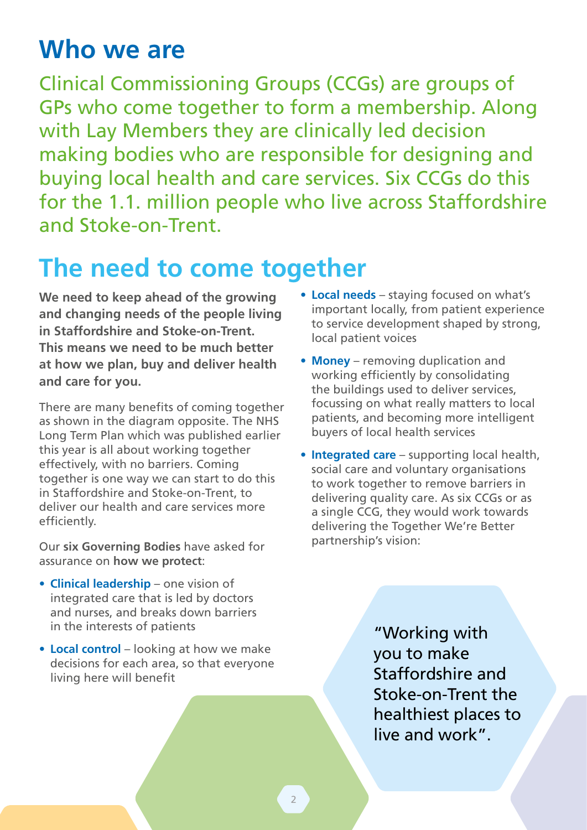## **Who we are**

Clinical Commissioning Groups (CCGs) are groups of GPs who come together to form a membership. Along with Lay Members they are clinically led decision making bodies who are responsible for designing and buying local health and care services. Six CCGs do this for the 1.1. million people who live across Staffordshire and Stoke-on-Trent.

## **The need to come together**

**We need to keep ahead of the growing and changing needs of the people living in Staffordshire and Stoke-on-Trent. This means we need to be much better at how we plan, buy and deliver health and care for you.** 

There are many benefits of coming together as shown in the diagram opposite. The NHS Long Term Plan which was published earlier this year is all about working together effectively, with no barriers. Coming together is one way we can start to do this in Staffordshire and Stoke-on-Trent, to deliver our health and care services more efficiently.

Our **six Governing Bodies** have asked for assurance on **how we protect**:

- **• Clinical leadership** one vision of integrated care that is led by doctors and nurses, and breaks down barriers in the interests of patients
- Local control looking at how we make decisions for each area, so that everyone living here will benefit
- **• Local needs** staying focused on what's important locally, from patient experience to service development shaped by strong, local patient voices
- **• Money**  removing duplication and working efficiently by consolidating the buildings used to deliver services, focussing on what really matters to local patients, and becoming more intelligent buyers of local health services
- **• Integrated care**  supporting local health, social care and voluntary organisations to work together to remove barriers in delivering quality care. As six CCGs or as a single CCG, they would work towards delivering the Together We're Better partnership's vision:

"Working with you to make Staffordshire and Stoke-on-Trent the healthiest places to live and work".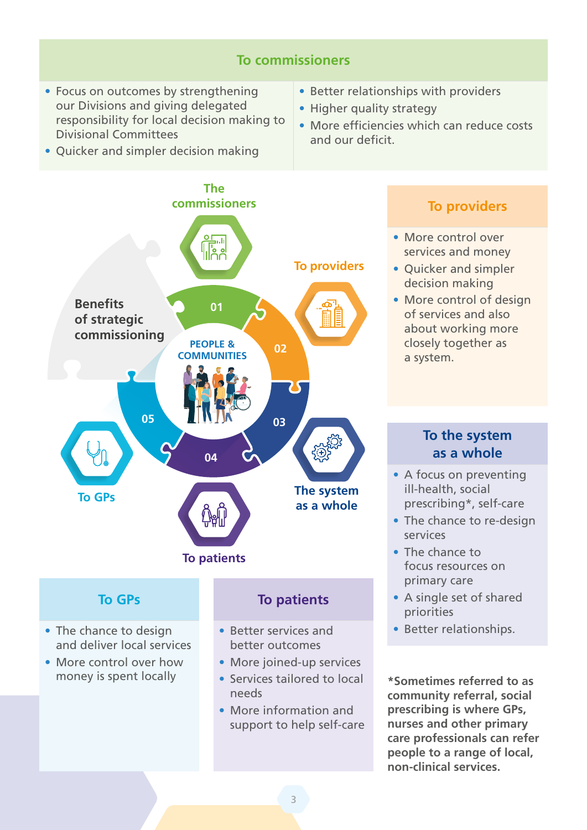#### **To commissioners**

**•** Focus on outcomes by strengthening our Divisions and giving delegated responsibility for local decision making to Divisional Committees

**•** Quicker and simpler decision making

- **•** Better relationships with providers
- **•** Higher quality strategy
- **•** More efficiencies which can reduce costs and our deficit.
- **The commissioners** II<mark>FE</mark> **To providers Benefits 01 of strategic commissioning PEOPLE & 02 COMMUNITIES 05 03 04 The system To GPs as a whole To patients**

#### **To providers**

- **•** More control over services and money
- **•** Quicker and simpler decision making
- **•** More control of design of services and also about working more closely together as a system.

#### **To the system as a whole**

- **•** A focus on preventing ill-health, social prescribing\*, self-care
- **•** The chance to re-design services
- **•** The chance to focus resources on primary care
- **•** A single set of shared priorities
- **•** Better relationships.

**\*Sometimes referred to as community referral, social prescribing is where GPs, nurses and other primary care professionals can refer people to a range of local, non-clinical services.**

#### **To GPs**

- **•** The chance to design and deliver local services
- **•** More control over how money is spent locally

#### **To patients**

- **•** Better services and better outcomes
- **•** More joined-up services
- **•** Services tailored to local needs
- **•** More information and support to help self-care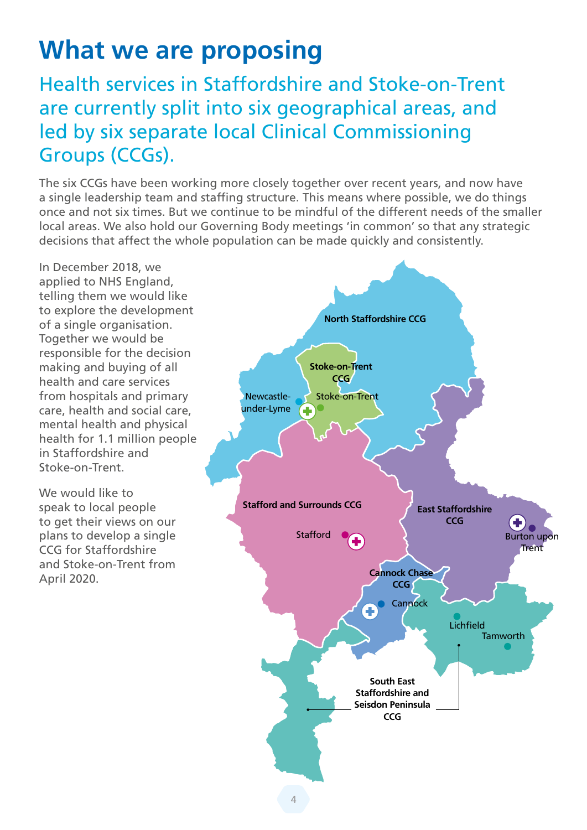## **What we are proposing**

### Health services in Staffordshire and Stoke-on-Trent are currently split into six geographical areas, and led by six separate local Clinical Commissioning Groups (CCGs).

The six CCGs have been working more closely together over recent years, and now have a single leadership team and staffing structure. This means where possible, we do things once and not six times. But we continue to be mindful of the different needs of the smaller local areas. We also hold our Governing Body meetings 'in common' so that any strategic decisions that affect the whole population can be made quickly and consistently.

In December 2018, we applied to NHS England, telling them we would like to explore the development of a single organisation. Together we would be responsible for the decision making and buying of all health and care services from hospitals and primary care, health and social care, mental health and physical health for 1.1 million people in Staffordshire and Stoke-on-Trent.

We would like to speak to local people to get their views on our plans to develop a single CCG for Staffordshire and Stoke-on-Trent from April 2020.

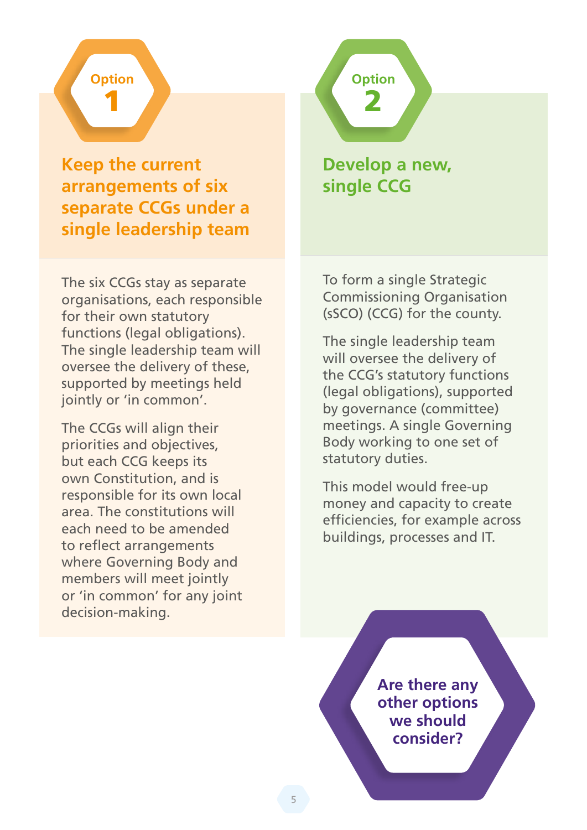## **Option** 1

**Keep the current arrangements of six separate CCGs under a single leadership team**

The six CCGs stay as separate organisations, each responsible for their own statutory functions (legal obligations). The single leadership team will oversee the delivery of these, supported by meetings held jointly or 'in common'.

The CCGs will align their priorities and objectives, but each CCG keeps its own Constitution, and is responsible for its own local area. The constitutions will each need to be amended to reflect arrangements where Governing Body and members will meet jointly or 'in common' for any joint decision-making.

**Develop a new, single CCG**

**Option**

2

To form a single Strategic Commissioning Organisation (sSCO) (CCG) for the county.

The single leadership team will oversee the delivery of the CCG's statutory functions (legal obligations), supported by governance (committee) meetings. A single Governing Body working to one set of statutory duties.

This model would free-up money and capacity to create efficiencies, for example across buildings, processes and IT.

> **Are there any other options we should consider?**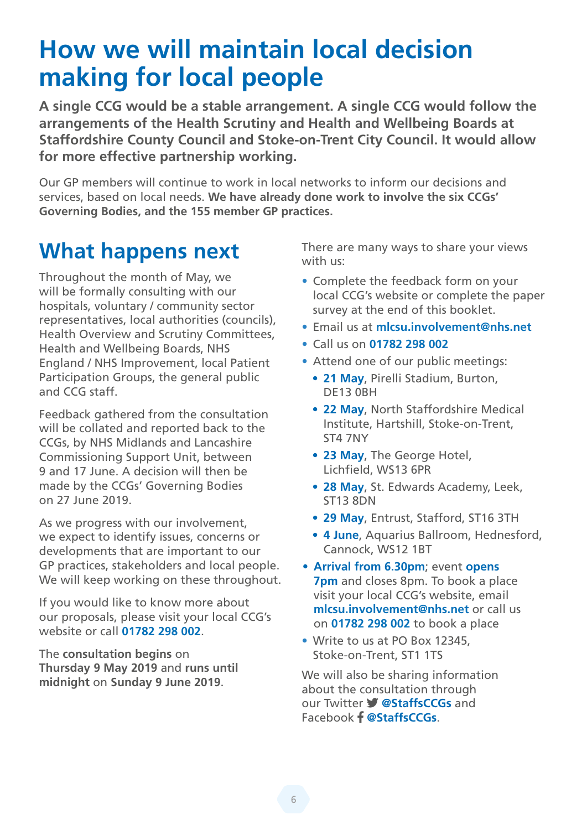## **How we will maintain local decision making for local people**

**A single CCG would be a stable arrangement. A single CCG would follow the arrangements of the Health Scrutiny and Health and Wellbeing Boards at Staffordshire County Council and Stoke-on-Trent City Council. It would allow for more effective partnership working.** 

Our GP members will continue to work in local networks to inform our decisions and services, based on local needs. **We have already done work to involve the six CCGs' Governing Bodies, and the 155 member GP practices.**

## **What happens next**

Throughout the month of May, we will be formally consulting with our hospitals, voluntary / community sector representatives, local authorities (councils), Health Overview and Scrutiny Committees, Health and Wellbeing Boards, NHS England / NHS Improvement, local Patient Participation Groups, the general public and CCG staff.

Feedback gathered from the consultation will be collated and reported back to the CCGs, by NHS Midlands and Lancashire Commissioning Support Unit, between 9 and 17 June. A decision will then be made by the CCGs' Governing Bodies on 27 June 2019.

As we progress with our involvement, we expect to identify issues, concerns or developments that are important to our GP practices, stakeholders and local people. We will keep working on these throughout.

If you would like to know more about our proposals, please visit your local CCG's website or call **01782 298 002**.

The **consultation begins** on **Thursday 9 May 2019** and **runs until midnight** on **Sunday 9 June 2019**.

There are many ways to share your views with us:

- **•** Complete the feedback form on your local CCG's website or complete the paper survey at the end of this booklet.
- **•** Email us at **mlcsu.involvement@nhs.net**
- **•** Call us on **01782 298 002**
- **•** Attend one of our public meetings:
	- **• 21 May**, Pirelli Stadium, Burton, DE13 0BH
	- **• 22 May**, North Staffordshire Medical Institute, Hartshill, Stoke-on-Trent, ST4 7NY
	- **• 23 May**, The George Hotel, Lichfield, WS13 6PR
	- **• 28 May**, St. Edwards Academy, Leek, ST13 8DN
	- **• 29 May**, Entrust, Stafford, ST16 3TH
	- **• 4 June**, Aquarius Ballroom, Hednesford, Cannock, WS12 1BT
- **• Arrival from 6.30pm**; event **opens 7pm** and closes 8pm. To book a place visit your local CCG's website, email **mlcsu.involvement@nhs.net** or call us on **01782 298 002** to book a place
- **•** Write to us at PO Box 12345, Stoke-on-Trent, ST1 1TS

We will also be sharing information about the consultation through our Twitter **V** @StaffsCCGs and Facebook Facebook-F **@StaffsCCGs**.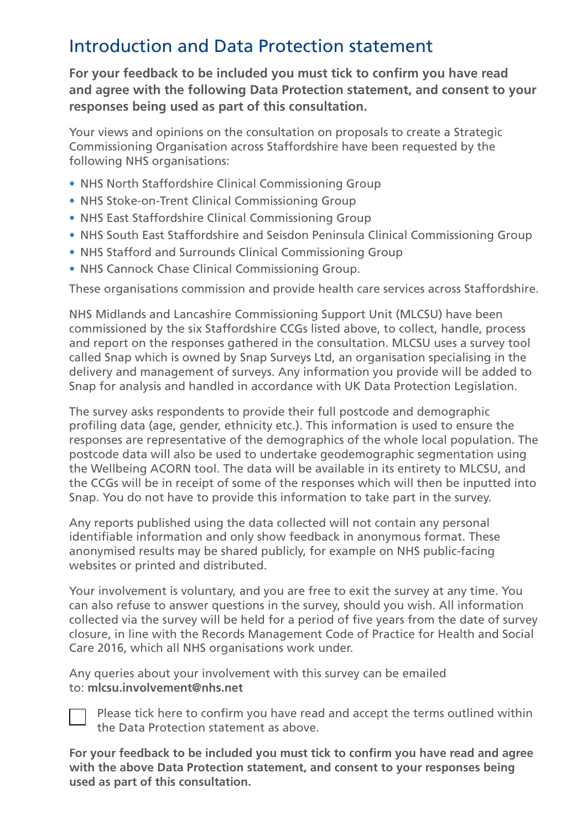### Introduction and Data Protection statement

**For your feedback to be included you must tick to confirm you have read and agree with the following Data Protection statement, and consent to your responses being used as part of this consultation.**

Your views and opinions on the consultation on proposals to create a Strategic Commissioning Organisation across Staffordshire have been requested by the following NHS organisations:

- **•** NHS North Staffordshire Clinical Commissioning Group
- **•** NHS Stoke-on-Trent Clinical Commissioning Group
- **•** NHS East Staffordshire Clinical Commissioning Group
- **•** NHS South East Staffordshire and Seisdon Peninsula Clinical Commissioning Group
- **•** NHS Stafford and Surrounds Clinical Commissioning Group
- **•** NHS Cannock Chase Clinical Commissioning Group.

These organisations commission and provide health care services across Staffordshire.

NHS Midlands and Lancashire Commissioning Support Unit (MLCSU) have been commissioned by the six Staffordshire CCGs listed above, to collect, handle, process and report on the responses gathered in the consultation. MLCSU uses a survey tool called Snap which is owned by Snap Surveys Ltd, an organisation specialising in the delivery and management of surveys. Any information you provide will be added to Snap for analysis and handled in accordance with UK Data Protection Legislation.

The survey asks respondents to provide their full postcode and demographic profiling data (age, gender, ethnicity etc.). This information is used to ensure the responses are representative of the demographics of the whole local population. The postcode data will also be used to undertake geodemographic segmentation using the Wellbeing ACORN tool. The data will be available in its entirety to MLCSU, and the CCGs will be in receipt of some of the responses which will then be inputted into Snap. You do not have to provide this information to take part in the survey.

Any reports published using the data collected will not contain any personal identifiable information and only show feedback in anonymous format. These anonymised results may be shared publicly, for example on NHS public-facing websites or printed and distributed.

Your involvement is voluntary, and you are free to exit the survey at any time. You can also refuse to answer questions in the survey, should you wish. All information collected via the survey will be held for a period of five years from the date of survey closure, in line with the Records Management Code of Practice for Health and Social Care 2016, which all NHS organisations work under.

Any queries about your involvement with this survey can be emailed to: **mlcsu.involvement@nhs.net**



Please tick here to confirm you have read and accept the terms outlined within the Data Protection statement as above.

**For your feedback to be included you must tick to confirm you have read and agree with the above Data Protection statement, and consent to your responses being used as part of this consultation.**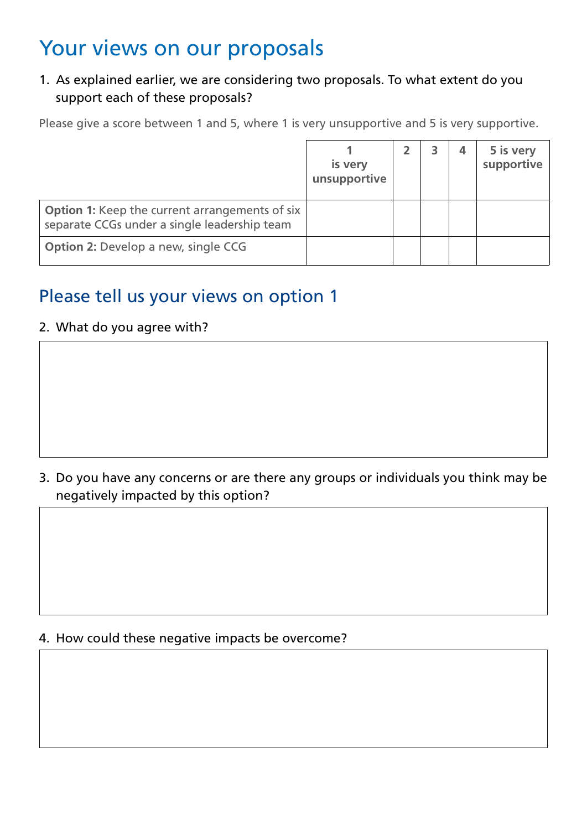## Your views on our proposals

#### 1. As explained earlier, we are considering two proposals. To what extent do you support each of these proposals?

Please give a score between 1 and 5, where 1 is very unsupportive and 5 is very supportive.

|                                                                                                       | is very<br>unsupportive |  | 5 is very<br>supportive |
|-------------------------------------------------------------------------------------------------------|-------------------------|--|-------------------------|
| <b>Option 1:</b> Keep the current arrangements of six<br>separate CCGs under a single leadership team |                         |  |                         |
| <b>Option 2: Develop a new, single CCG</b>                                                            |                         |  |                         |

### Please tell us your views on option 1

#### 2. What do you agree with?

3. Do you have any concerns or are there any groups or individuals you think may be negatively impacted by this option?

#### 4. How could these negative impacts be overcome?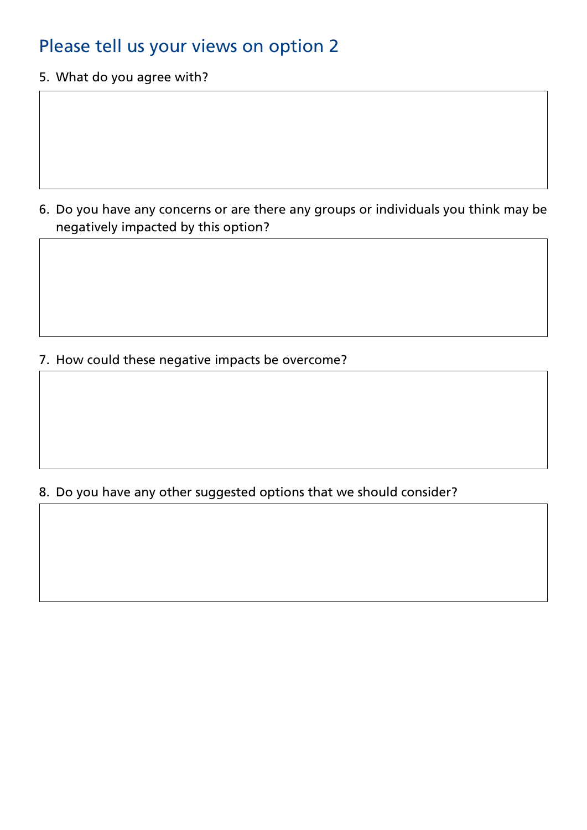### Please tell us your views on option 2

5. What do you agree with?

6. Do you have any concerns or are there any groups or individuals you think may be negatively impacted by this option?

7. How could these negative impacts be overcome?

#### 8. Do you have any other suggested options that we should consider?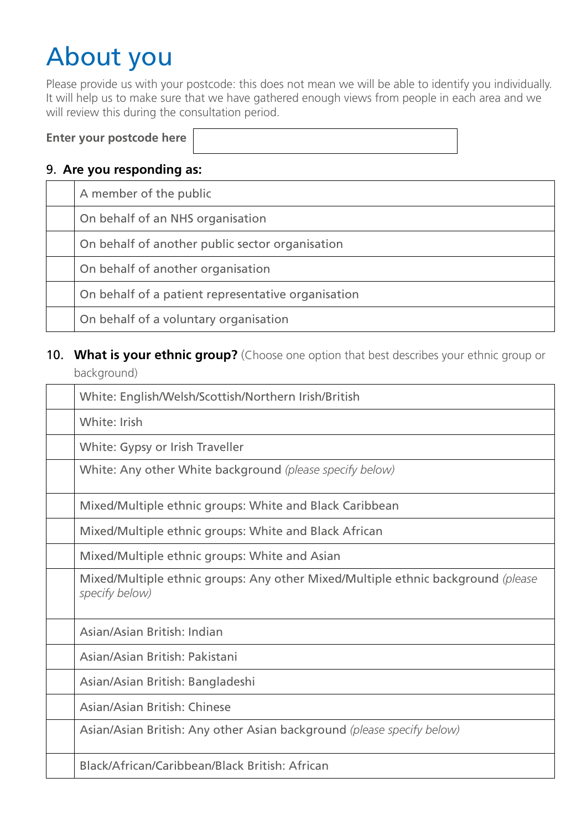## About you

Please provide us with your postcode: this does not mean we will be able to identify you individually. It will help us to make sure that we have gathered enough views from people in each area and we will review this during the consultation period.

|  |  | Enter your postcode here |  |
|--|--|--------------------------|--|
|--|--|--------------------------|--|

#### 9. **Are you responding as:**

| A member of the public                             |
|----------------------------------------------------|
| On behalf of an NHS organisation                   |
| On behalf of another public sector organisation    |
| On behalf of another organisation                  |
| On behalf of a patient representative organisation |
| On behalf of a voluntary organisation              |

#### 10. What is your ethnic group? (Choose one option that best describes your ethnic group or background)

| White: English/Welsh/Scottish/Northern Irish/British                                               |
|----------------------------------------------------------------------------------------------------|
| White: Irish                                                                                       |
| White: Gypsy or Irish Traveller                                                                    |
| White: Any other White background (please specify below)                                           |
| Mixed/Multiple ethnic groups: White and Black Caribbean                                            |
| Mixed/Multiple ethnic groups: White and Black African                                              |
| Mixed/Multiple ethnic groups: White and Asian                                                      |
| Mixed/Multiple ethnic groups: Any other Mixed/Multiple ethnic background (please<br>specify below) |
| Asian/Asian British: Indian                                                                        |
| Asian/Asian British: Pakistani                                                                     |
| Asian/Asian British: Bangladeshi                                                                   |
| Asian/Asian British: Chinese                                                                       |
| Asian/Asian British: Any other Asian background (please specify below)                             |
| Black/African/Caribbean/Black British: African                                                     |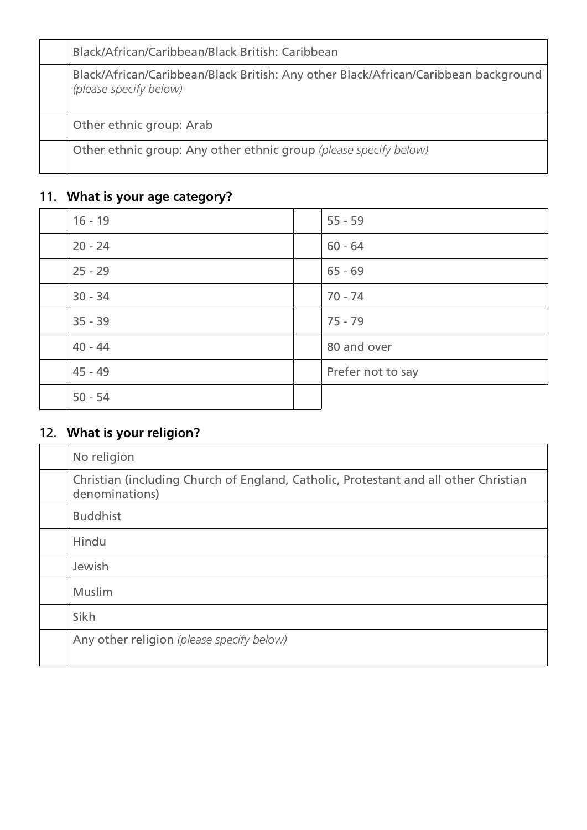| Black/African/Caribbean/Black British: Caribbean                                                              |
|---------------------------------------------------------------------------------------------------------------|
| Black/African/Caribbean/Black British: Any other Black/African/Caribbean background<br>(please specify below) |
| Other ethnic group: Arab                                                                                      |
| Other ethnic group: Any other ethnic group (please specify below)                                             |

### 11. **What is your age category?**

| $16 - 19$ | $55 - 59$         |
|-----------|-------------------|
| $20 - 24$ | $60 - 64$         |
| $25 - 29$ | $65 - 69$         |
| $30 - 34$ | $70 - 74$         |
| $35 - 39$ | $75 - 79$         |
| $40 - 44$ | 80 and over       |
| $45 - 49$ | Prefer not to say |
| $50 - 54$ |                   |

### 12. **What is your religion?**

| No religion                                                                                            |
|--------------------------------------------------------------------------------------------------------|
| Christian (including Church of England, Catholic, Protestant and all other Christian<br>denominations) |
| <b>Buddhist</b>                                                                                        |
| Hindu                                                                                                  |
| Jewish                                                                                                 |
| <b>Muslim</b>                                                                                          |
| Sikh                                                                                                   |
| Any other religion (please specify below)                                                              |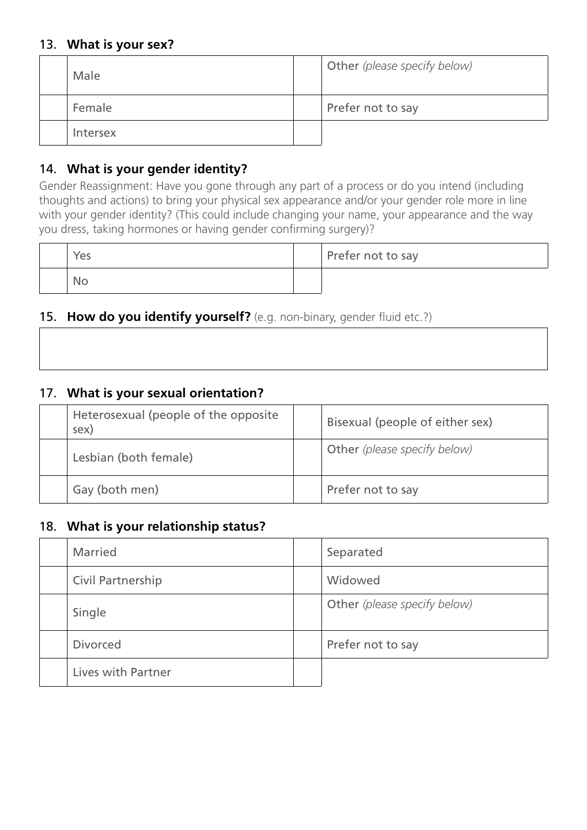#### 13. **What is your sex?**

| Male     | Other (please specify below) |
|----------|------------------------------|
| Female   | Prefer not to say            |
| Intersex |                              |

#### 14. **What is your gender identity?**

Gender Reassignment: Have you gone through any part of a process or do you intend (including thoughts and actions) to bring your physical sex appearance and/or your gender role more in line with your gender identity? (This could include changing your name, your appearance and the way you dress, taking hormones or having gender confirming surgery)?

| Yes | Prefer not to say |
|-----|-------------------|
| No. |                   |

#### 15. **How do you identify yourself?** (e.g. non-binary, gender fluid etc.?)

٦

#### 17. **What is your sexual orientation?**

 $\Gamma$ 

| Heterosexual (people of the opposite<br>sex) | Bisexual (people of either sex)     |
|----------------------------------------------|-------------------------------------|
| Lesbian (both female)                        | <b>Other</b> (please specify below) |
| Gay (both men)                               | Prefer not to say                   |

#### 18. **What is your relationship status?**

| <b>Married</b>     | Separated                    |
|--------------------|------------------------------|
| Civil Partnership  | Widowed                      |
| Single             | Other (please specify below) |
| <b>Divorced</b>    | Prefer not to say            |
| Lives with Partner |                              |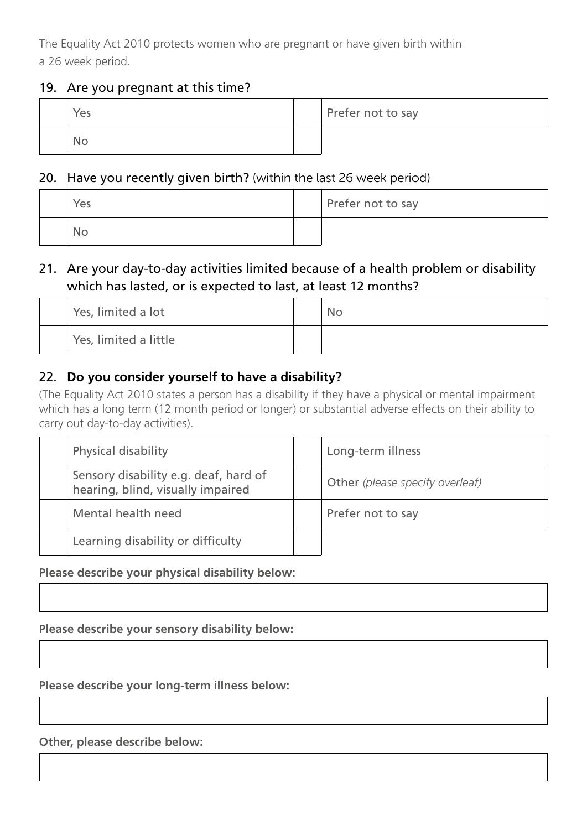The Equality Act 2010 protects women who are pregnant or have given birth within a 26 week period.

#### 19. Are you pregnant at this time?

| Yes | Prefer not to say |
|-----|-------------------|
| No  |                   |

#### 20. Have you recently given birth? (within the last 26 week period)

| Yes       | Prefer not to say |
|-----------|-------------------|
| <b>No</b> |                   |

#### 21. Are your day-to-day activities limited because of a health problem or disability which has lasted, or is expected to last, at least 12 months?

| Yes, limited a lot    | <b>No</b> |
|-----------------------|-----------|
| Yes, limited a little |           |

#### 22. **Do you consider yourself to have a disability?**

(The Equality Act 2010 states a person has a disability if they have a physical or mental impairment which has a long term (12 month period or longer) or substantial adverse effects on their ability to carry out day-to-day activities).

| <b>Physical disability</b>                                                 | Long-term illness               |
|----------------------------------------------------------------------------|---------------------------------|
| Sensory disability e.g. deaf, hard of<br>hearing, blind, visually impaired | Other (please specify overleaf) |
| Mental health need                                                         | Prefer not to say               |
| Learning disability or difficulty                                          |                                 |

#### **Please describe your physical disability below:**

**Please describe your sensory disability below:**

**Please describe your long-term illness below:**

**Other, please describe below:**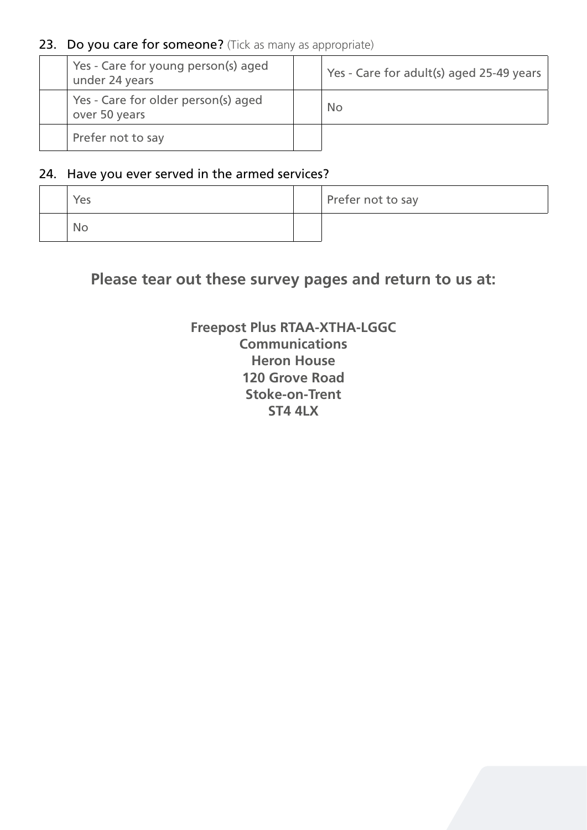#### 23. Do you care for someone? (Tick as many as appropriate)

| Yes - Care for young person(s) aged<br>under 24 years | Yes - Care for adult(s) aged 25-49 years |
|-------------------------------------------------------|------------------------------------------|
| Yes - Care for older person(s) aged<br>over 50 years  | <b>No</b>                                |
| Prefer not to say                                     |                                          |

#### 24. Have you ever served in the armed services?

| Yes | Prefer not to say |
|-----|-------------------|
| No  |                   |

### **Please tear out these survey pages and return to us at:**

#### **Freepost Plus RTAA-XTHA-LGGC Communications Heron House 120 Grove Road Stoke-on-Trent ST4 4LX**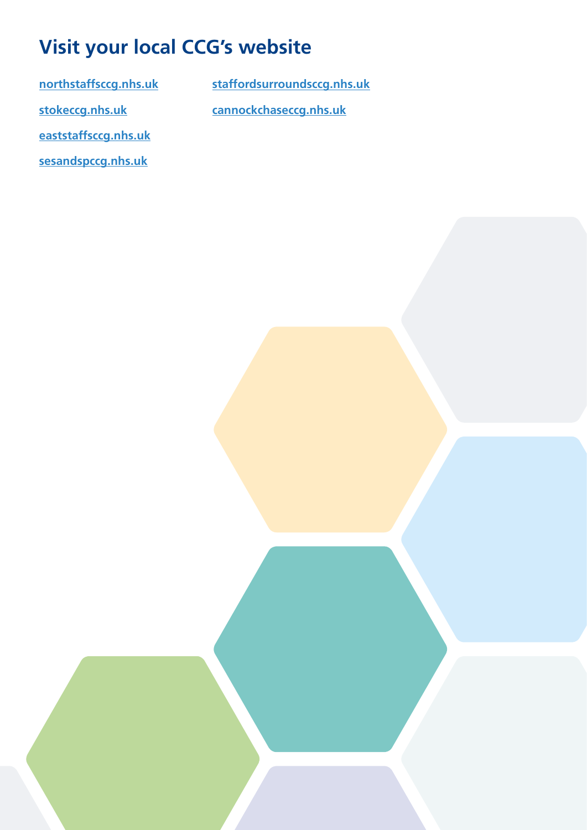## **Visit your local CCG's website**

**[northstaffsccg.nhs.uk](https://www.northstaffsccg.nhs.uk/) [stokeccg.nhs.uk](https://www.stokeccg.nhs.uk/)**

**[staffordsurroundsccg.nhs.uk](https://www.staffordsurroundsccg.nhs.uk/) [cannockchaseccg.nhs.uk](https://www.cannockchaseccg.nhs.uk/)**

**[eaststaffsccg.nhs.uk](https://eaststaffsccg.nhs.uk/)**

**[sesandspccg.nhs.uk](https://sesandspccg.nhs.uk/)**